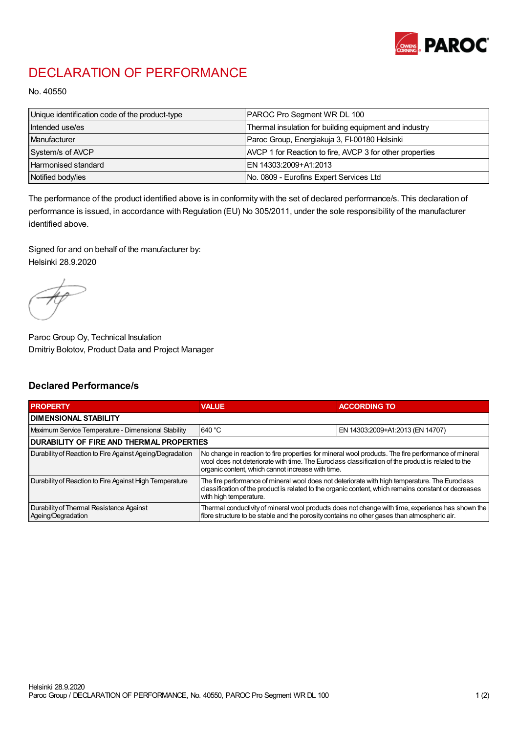

## DECLARATION OF PERFORMANCE

No. 40550

| Unique identification code of the product-type | <b>PAROC Pro Segment WR DL 100</b>                       |
|------------------------------------------------|----------------------------------------------------------|
| Intended use/es                                | Thermal insulation for building equipment and industry   |
| Manufacturer                                   | Paroc Group, Energiakuja 3, FI-00180 Helsinki            |
| System/s of AVCP                               | AVCP 1 for Reaction to fire, AVCP 3 for other properties |
| Harmonised standard                            | IEN 14303:2009+A1:2013                                   |
| Notified body/ies                              | No. 0809 - Eurofins Expert Services Ltd                  |

The performance of the product identified above is in conformity with the set of declared performance/s. This declaration of performance is issued, in accordance with Regulation (EU) No 305/2011, under the sole responsibility of the manufacturer identified above.

Signed for and on behalf of the manufacturer by: Helsinki 28.9.2020

Paroc Group Oy, Technical Insulation Dmitriy Bolotov, Product Data and Project Manager

## Declared Performance/s

| <b>PROPERTY</b>                                                | <b>VALUE</b>                                                                                                                                                                                                                                                   | <b>ACCORDING TO.</b>             |  |
|----------------------------------------------------------------|----------------------------------------------------------------------------------------------------------------------------------------------------------------------------------------------------------------------------------------------------------------|----------------------------------|--|
| <b>DIMENSIONAL STABILITY</b>                                   |                                                                                                                                                                                                                                                                |                                  |  |
| Maximum Service Temperature - Dimensional Stability            | 640 °C                                                                                                                                                                                                                                                         | EN 14303:2009+A1:2013 (EN 14707) |  |
| <b>DURABILITY OF FIRE AND THERMAL PROPERTIES</b>               |                                                                                                                                                                                                                                                                |                                  |  |
| Durability of Reaction to Fire Against Ageing/Degradation      | No change in reaction to fire properties for mineral wool products. The fire performance of mineral<br>wool does not deteriorate with time. The Euroclass classification of the product is related to the<br>organic content, which cannot increase with time. |                                  |  |
| Durability of Reaction to Fire Against High Temperature        | The fire performance of mineral wool does not deteriorate with high temperature. The Euroclass<br>classification of the product is related to the organic content, which remains constant or decreases<br>with high temperature.                               |                                  |  |
| Durability of Thermal Resistance Against<br>Ageing/Degradation | Thermal conductivity of mineral wool products does not change with time, experience has shown the<br>fibre structure to be stable and the porosity contains no other gases than atmospheric air.                                                               |                                  |  |